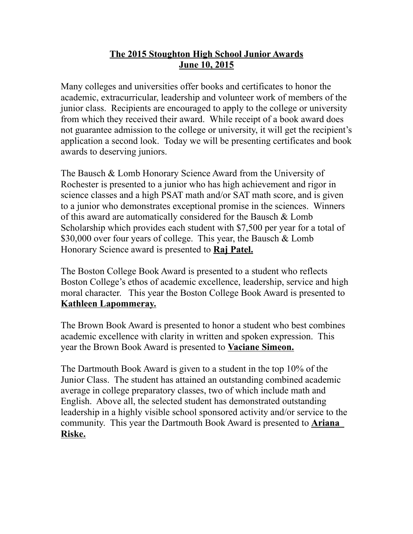## **The 2015 Stoughton High School Junior Awards June 10, 2015**

Many colleges and universities offer books and certificates to honor the academic, extracurricular, leadership and volunteer work of members of the junior class. Recipients are encouraged to apply to the college or university from which they received their award. While receipt of a book award does not guarantee admission to the college or university, it will get the recipient's application a second look. Today we will be presenting certificates and book awards to deserving juniors.

The Bausch & Lomb Honorary Science Award from the University of Rochester is presented to a junior who has high achievement and rigor in science classes and a high PSAT math and/or SAT math score, and is given to a junior who demonstrates exceptional promise in the sciences. Winners of this award are automatically considered for the Bausch & Lomb Scholarship which provides each student with \$7,500 per year for a total of \$30,000 over four years of college. This year, the Bausch & Lomb Honorary Science award is presented to **Raj Patel.**

The Boston College Book Award is presented to a student who reflects Boston College's ethos of academic excellence, leadership, service and high moral character. This year the Boston College Book Award is presented to **Kathleen Lapommeray.**

The Brown Book Award is presented to honor a student who best combines academic excellence with clarity in written and spoken expression. This year the Brown Book Award is presented to **Vaciane Simeon.**

The Dartmouth Book Award is given to a student in the top 10% of the Junior Class. The student has attained an outstanding combined academic average in college preparatory classes, two of which include math and English. Above all, the selected student has demonstrated outstanding leadership in a highly visible school sponsored activity and/or service to the community. This year the Dartmouth Book Award is presented to **Ariana Riske.**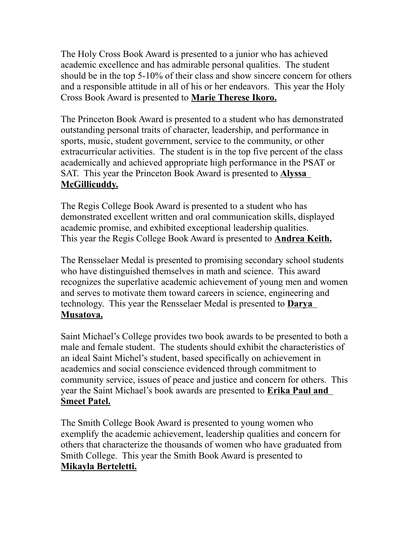The Holy Cross Book Award is presented to a junior who has achieved academic excellence and has admirable personal qualities. The student should be in the top 5-10% of their class and show sincere concern for others and a responsible attitude in all of his or her endeavors. This year the Holy Cross Book Award is presented to **Marie Therese Ikoro.**

The Princeton Book Award is presented to a student who has demonstrated outstanding personal traits of character, leadership, and performance in sports, music, student government, service to the community, or other extracurricular activities. The student is in the top five percent of the class academically and achieved appropriate high performance in the PSAT or SAT. This year the Princeton Book Award is presented to **Alyssa McGillicuddy.**

The Regis College Book Award is presented to a student who has demonstrated excellent written and oral communication skills, displayed academic promise, and exhibited exceptional leadership qualities. This year the Regis College Book Award is presented to **Andrea Keith.**

The Rensselaer Medal is presented to promising secondary school students who have distinguished themselves in math and science. This award recognizes the superlative academic achievement of young men and women and serves to motivate them toward careers in science, engineering and technology. This year the Rensselaer Medal is presented to **Darya Musatova.**

Saint Michael's College provides two book awards to be presented to both a male and female student. The students should exhibit the characteristics of an ideal Saint Michel's student, based specifically on achievement in academics and social conscience evidenced through commitment to community service, issues of peace and justice and concern for others. This year the Saint Michael's book awards are presented to **Erika Paul and Smeet Patel.**

The Smith College Book Award is presented to young women who exemplify the academic achievement, leadership qualities and concern for others that characterize the thousands of women who have graduated from Smith College. This year the Smith Book Award is presented to **Mikayla Berteletti.**